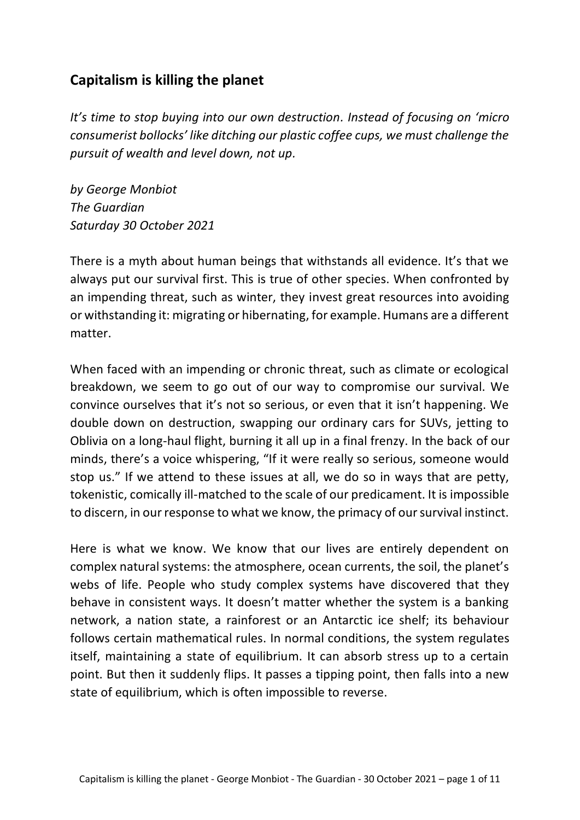# **Capitalism is killing the planet**

*It's time to stop buying into our own destruction. Instead of focusing on 'micro consumerist bollocks' like ditching our plastic coffee cups, we must challenge the pursuit of wealth and level down, not up.*

*by George Monbiot The Guardian Saturday 30 October 2021*

There is a myth about human beings that withstands all evidence. It's that we always put our survival first. This is true of other species. When confronted by an impending threat, such as winter, they invest great resources into avoiding or withstanding it: migrating or hibernating, for example. Humans are a different matter.

When faced with an impending or chronic threat, such as climate or ecological breakdown, we seem to go out of our way to compromise our survival. We convince ourselves that it's not so serious, or even that it isn't happening. We double down on destruction, swapping our ordinary cars for SUVs, jetting to Oblivia on a long-haul flight, burning it all up in a final frenzy. In the back of our minds, there's a voice whispering, "If it were really so serious, someone would stop us." If we attend to these issues at all, we do so in ways that are petty, tokenistic, comically ill-matched to the scale of our predicament. It is impossible to discern, in our response to what we know, the primacy of our survival instinct.

Here is what we know. We know that our lives are entirely dependent on complex natural systems: the atmosphere, ocean currents, the soil, the planet's webs of life. People who study complex systems have discovered that they behave in consistent ways. It doesn't matter whether the system is a banking network, a nation state, a rainforest or an Antarctic ice shelf; its behaviour follows certain mathematical rules. In normal conditions, the system regulates itself, maintaining a state of equilibrium. It can absorb stress up to a certain point. But then it suddenly flips. It passes a tipping point, then falls into a new state of equilibrium, which is often impossible to reverse.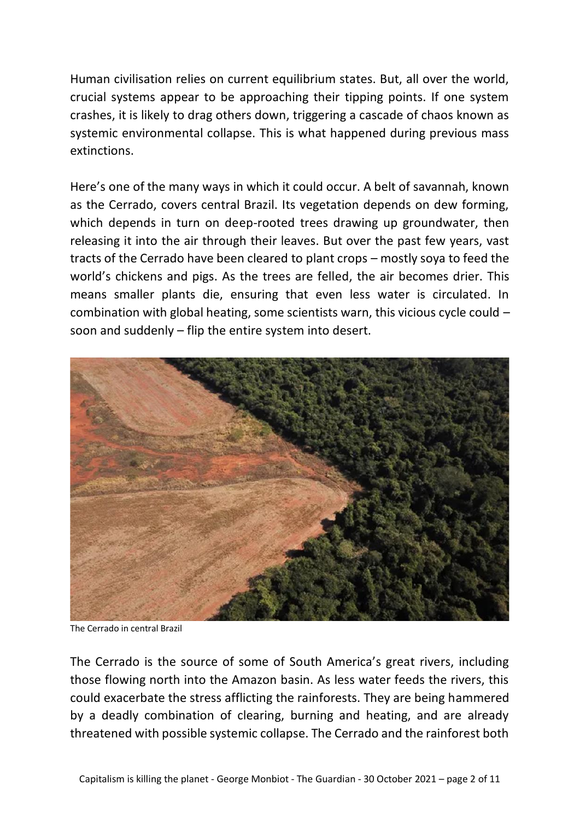Human civilisation relies on current equilibrium states. But, all over the world, crucial systems appear to be approaching their tipping points. If one system crashes, it is likely to drag others down, triggering a cascade of chaos known as systemic environmental collapse. This is what happened during previous mass extinctions.

Here's one of the many ways in which it could occur. A belt of savannah, known as the Cerrado, covers central Brazil. Its vegetation depends on dew forming, which depends in turn on deep-rooted trees drawing up groundwater, then releasing it into the air through their leaves. But over the past few years, vast tracts of the Cerrado have been cleared to plant crops – mostly soya to feed the world's chickens and pigs. As the trees are felled, the air becomes drier. This means smaller plants die, ensuring that even less water is circulated. In combination with global heating, some scientists warn, this vicious cycle could – soon and suddenly – flip the entire system into desert.



The Cerrado in central Brazil

The Cerrado is the source of some of South America's great rivers, including those flowing north into the Amazon basin. As less water feeds the rivers, this could exacerbate the stress afflicting the rainforests. They are being hammered by a deadly combination of clearing, burning and heating, and are already threatened with possible systemic collapse. The Cerrado and the rainforest both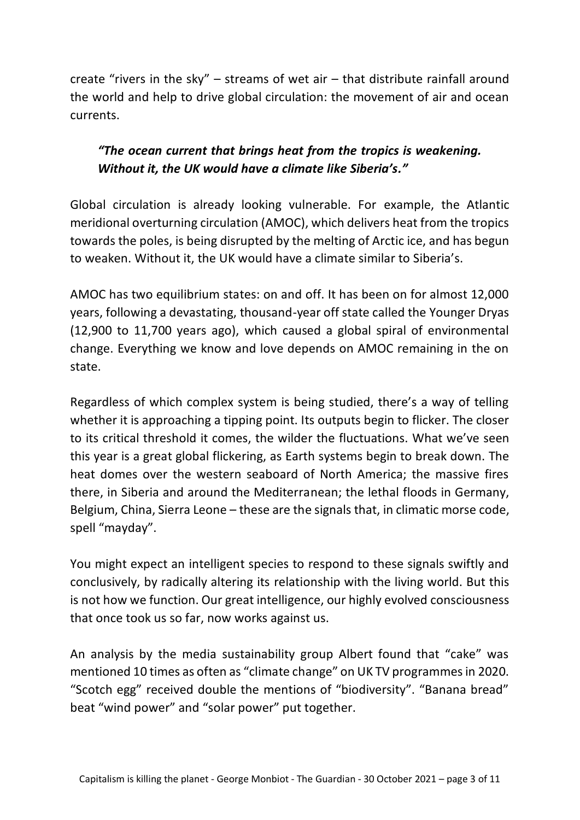create "rivers in the sky" – streams of wet air – that distribute rainfall around the world and help to drive global circulation: the movement of air and ocean currents.

## *"The ocean current that brings heat from the tropics is weakening. Without it, the UK would have a climate like Siberia's."*

Global circulation is already looking vulnerable. For example, the Atlantic meridional overturning circulation (AMOC), which delivers heat from the tropics towards the poles, is being disrupted by the melting of Arctic ice, and has begun to weaken. Without it, the UK would have a climate similar to Siberia's.

AMOC has two equilibrium states: on and off. It has been on for almost 12,000 years, following a devastating, thousand-year off state called the Younger Dryas (12,900 to 11,700 years ago), which caused a global spiral of environmental change. Everything we know and love depends on AMOC remaining in the on state.

Regardless of which complex system is being studied, there's a way of telling whether it is approaching a tipping point. Its outputs begin to flicker. The closer to its critical threshold it comes, the wilder the fluctuations. What we've seen this year is a great global flickering, as Earth systems begin to break down. The heat domes over the western seaboard of North America; the massive fires there, in Siberia and around the Mediterranean; the lethal floods in Germany, Belgium, China, Sierra Leone – these are the signals that, in climatic morse code, spell "mayday".

You might expect an intelligent species to respond to these signals swiftly and conclusively, by radically altering its relationship with the living world. But this is not how we function. Our great intelligence, our highly evolved consciousness that once took us so far, now works against us.

An analysis by the media sustainability group Albert found that "cake" was mentioned 10 times as often as "climate change" on UK TV programmes in 2020. "Scotch egg" received double the mentions of "biodiversity". "Banana bread" beat "wind power" and "solar power" put together.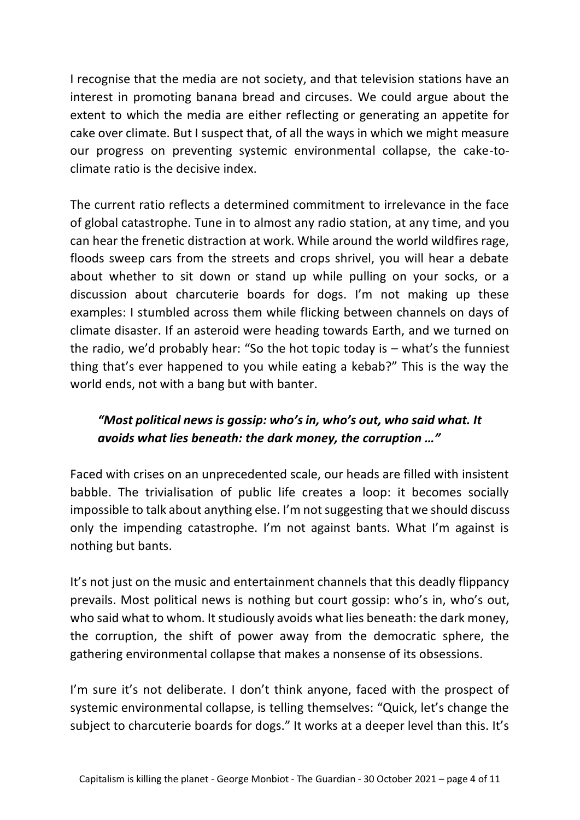I recognise that the media are not society, and that television stations have an interest in promoting banana bread and circuses. We could argue about the extent to which the media are either reflecting or generating an appetite for cake over climate. But I suspect that, of all the ways in which we might measure our progress on preventing systemic environmental collapse, the cake-toclimate ratio is the decisive index.

The current ratio reflects a determined commitment to irrelevance in the face of global catastrophe. Tune in to almost any radio station, at any time, and you can hear the frenetic distraction at work. While around the world wildfires rage, floods sweep cars from the streets and crops shrivel, you will hear a debate about whether to sit down or stand up while pulling on your socks, or a discussion about charcuterie boards for dogs. I'm not making up these examples: I stumbled across them while flicking between channels on days of climate disaster. If an asteroid were heading towards Earth, and we turned on the radio, we'd probably hear: "So the hot topic today is – what's the funniest thing that's ever happened to you while eating a kebab?" This is the way the world ends, not with a bang but with banter.

### *"Most political news is gossip: who's in, who's out, who said what. It avoids what lies beneath: the dark money, the corruption …"*

Faced with crises on an unprecedented scale, our heads are filled with insistent babble. The trivialisation of public life creates a loop: it becomes socially impossible to talk about anything else. I'm not suggesting that we should discuss only the impending catastrophe. I'm not against bants. What I'm against is nothing but bants.

It's not just on the music and entertainment channels that this deadly flippancy prevails. Most political news is nothing but court gossip: who's in, who's out, who said what to whom. It studiously avoids what lies beneath: the dark money, the corruption, the shift of power away from the democratic sphere, the gathering environmental collapse that makes a nonsense of its obsessions.

I'm sure it's not deliberate. I don't think anyone, faced with the prospect of systemic environmental collapse, is telling themselves: "Quick, let's change the subject to charcuterie boards for dogs." It works at a deeper level than this. It's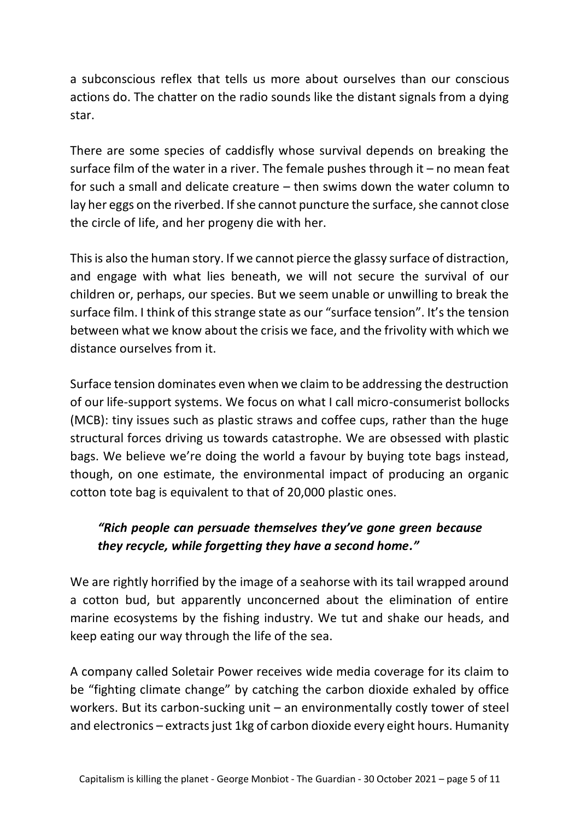a subconscious reflex that tells us more about ourselves than our conscious actions do. The chatter on the radio sounds like the distant signals from a dying star.

There are some species of caddisfly whose survival depends on breaking the surface film of the water in a river. The female pushes through it – no mean feat for such a small and delicate creature – then swims down the water column to lay her eggs on the riverbed. If she cannot puncture the surface, she cannot close the circle of life, and her progeny die with her.

This is also the human story. If we cannot pierce the glassy surface of distraction, and engage with what lies beneath, we will not secure the survival of our children or, perhaps, our species. But we seem unable or unwilling to break the surface film. I think of this strange state as our "surface tension". It's the tension between what we know about the crisis we face, and the frivolity with which we distance ourselves from it.

Surface tension dominates even when we claim to be addressing the destruction of our life-support systems. We focus on what I call micro-consumerist bollocks (MCB): tiny issues such as plastic straws and coffee cups, rather than the huge structural forces driving us towards catastrophe. We are obsessed with plastic bags. We believe we're doing the world a favour by buying tote bags instead, though, on one estimate, the environmental impact of producing an organic cotton tote bag is equivalent to that of 20,000 plastic ones.

#### *"Rich people can persuade themselves they've gone green because they recycle, while forgetting they have a second home."*

We are rightly horrified by the image of a seahorse with its tail wrapped around a cotton bud, but apparently unconcerned about the elimination of entire marine ecosystems by the fishing industry. We tut and shake our heads, and keep eating our way through the life of the sea.

A company called Soletair Power receives wide media coverage for its claim to be "fighting climate change" by catching the carbon dioxide exhaled by office workers. But its carbon-sucking unit – an environmentally costly tower of steel and electronics – extracts just 1kg of carbon dioxide every eight hours. Humanity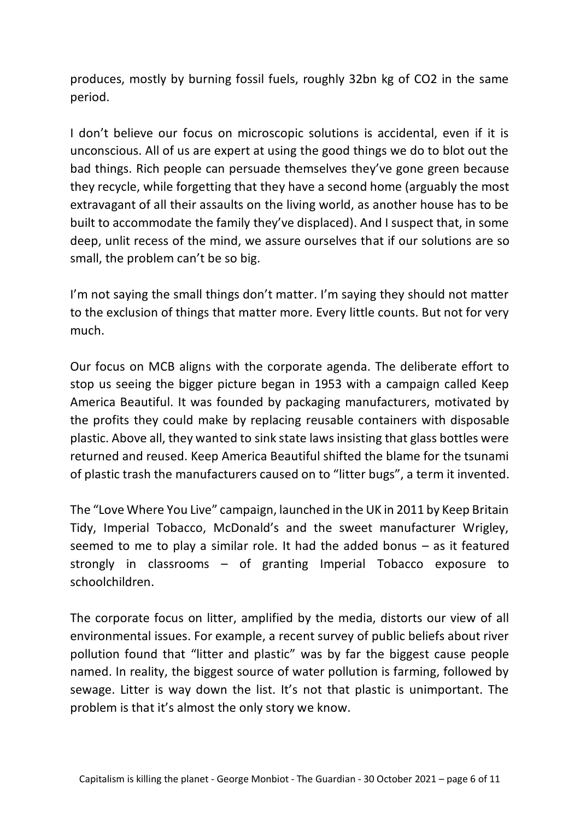produces, mostly by burning fossil fuels, roughly 32bn kg of CO2 in the same period.

I don't believe our focus on microscopic solutions is accidental, even if it is unconscious. All of us are expert at using the good things we do to blot out the bad things. Rich people can persuade themselves they've gone green because they recycle, while forgetting that they have a second home (arguably the most extravagant of all their assaults on the living world, as another house has to be built to accommodate the family they've displaced). And I suspect that, in some deep, unlit recess of the mind, we assure ourselves that if our solutions are so small, the problem can't be so big.

I'm not saying the small things don't matter. I'm saying they should not matter to the exclusion of things that matter more. Every little counts. But not for very much.

Our focus on MCB aligns with the corporate agenda. The deliberate effort to stop us seeing the bigger picture began in 1953 with a campaign called Keep America Beautiful. It was founded by packaging manufacturers, motivated by the profits they could make by replacing reusable containers with disposable plastic. Above all, they wanted to sink state laws insisting that glass bottles were returned and reused. Keep America Beautiful shifted the blame for the tsunami of plastic trash the manufacturers caused on to "litter bugs", a term it invented.

The "Love Where You Live" campaign, launched in the UK in 2011 by Keep Britain Tidy, Imperial Tobacco, McDonald's and the sweet manufacturer Wrigley, seemed to me to play a similar role. It had the added bonus – as it featured strongly in classrooms – of granting Imperial Tobacco exposure to schoolchildren.

The corporate focus on litter, amplified by the media, distorts our view of all environmental issues. For example, a recent survey of public beliefs about river pollution found that "litter and plastic" was by far the biggest cause people named. In reality, the biggest source of water pollution is farming, followed by sewage. Litter is way down the list. It's not that plastic is unimportant. The problem is that it's almost the only story we know.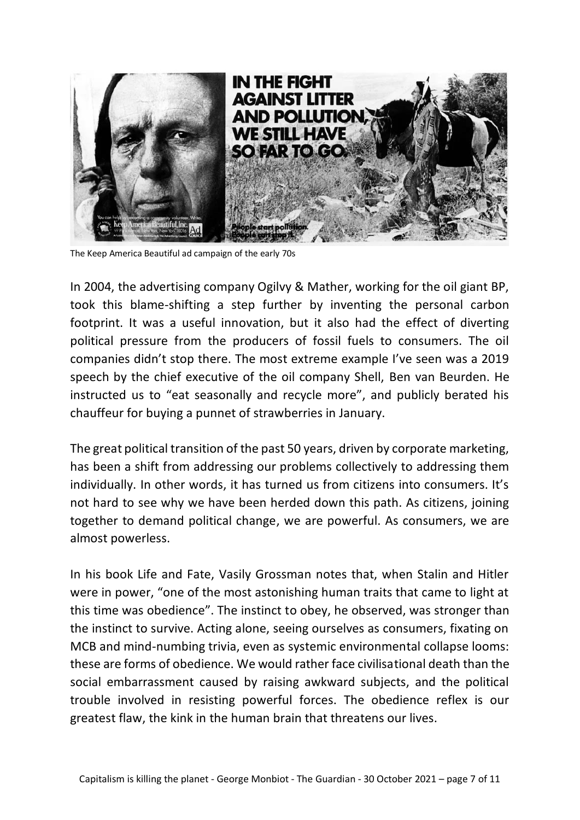

The Keep America Beautiful ad campaign of the early 70s

In 2004, the advertising company Ogilvy & Mather, working for the oil giant BP, took this blame-shifting a step further by inventing the personal carbon footprint. It was a useful innovation, but it also had the effect of diverting political pressure from the producers of fossil fuels to consumers. The oil companies didn't stop there. The most extreme example I've seen was a 2019 speech by the chief executive of the oil company Shell, Ben van Beurden. He instructed us to "eat seasonally and recycle more", and publicly berated his chauffeur for buying a punnet of strawberries in January.

The great political transition of the past 50 years, driven by corporate marketing, has been a shift from addressing our problems collectively to addressing them individually. In other words, it has turned us from citizens into consumers. It's not hard to see why we have been herded down this path. As citizens, joining together to demand political change, we are powerful. As consumers, we are almost powerless.

In his book Life and Fate, Vasily Grossman notes that, when Stalin and Hitler were in power, "one of the most astonishing human traits that came to light at this time was obedience". The instinct to obey, he observed, was stronger than the instinct to survive. Acting alone, seeing ourselves as consumers, fixating on MCB and mind-numbing trivia, even as systemic environmental collapse looms: these are forms of obedience. We would rather face civilisational death than the social embarrassment caused by raising awkward subjects, and the political trouble involved in resisting powerful forces. The obedience reflex is our greatest flaw, the kink in the human brain that threatens our lives.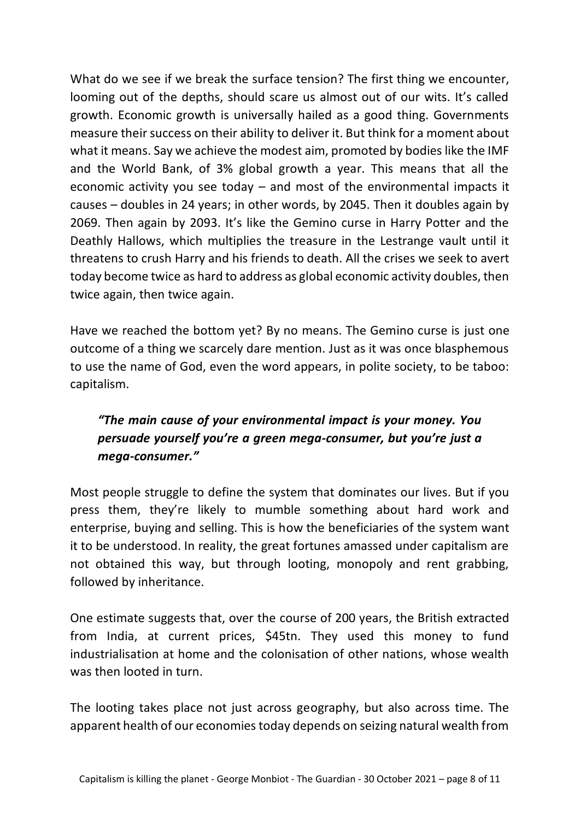What do we see if we break the surface tension? The first thing we encounter, looming out of the depths, should scare us almost out of our wits. It's called growth. Economic growth is universally hailed as a good thing. Governments measure their success on their ability to deliver it. But think for a moment about what it means. Say we achieve the modest aim, promoted by bodies like the IMF and the World Bank, of 3% global growth a year. This means that all the economic activity you see today – and most of the environmental impacts it causes – doubles in 24 years; in other words, by 2045. Then it doubles again by 2069. Then again by 2093. It's like the Gemino curse in Harry Potter and the Deathly Hallows, which multiplies the treasure in the Lestrange vault until it threatens to crush Harry and his friends to death. All the crises we seek to avert today become twice as hard to address as global economic activity doubles, then twice again, then twice again.

Have we reached the bottom yet? By no means. The Gemino curse is just one outcome of a thing we scarcely dare mention. Just as it was once blasphemous to use the name of God, even the word appears, in polite society, to be taboo: capitalism.

# *"The main cause of your environmental impact is your money. You persuade yourself you're a green mega-consumer, but you're just a mega-consumer."*

Most people struggle to define the system that dominates our lives. But if you press them, they're likely to mumble something about hard work and enterprise, buying and selling. This is how the beneficiaries of the system want it to be understood. In reality, the great fortunes amassed under capitalism are not obtained this way, but through looting, monopoly and rent grabbing, followed by inheritance.

One estimate suggests that, over the course of 200 years, the British extracted from India, at current prices, \$45tn. They used this money to fund industrialisation at home and the colonisation of other nations, whose wealth was then looted in turn.

The looting takes place not just across geography, but also across time. The apparent health of our economies today depends on seizing natural wealth from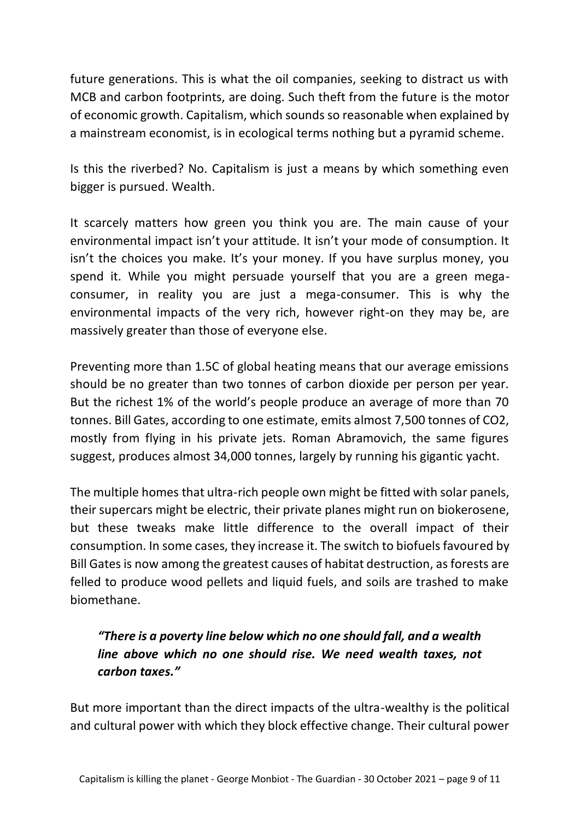future generations. This is what the oil companies, seeking to distract us with MCB and carbon footprints, are doing. Such theft from the future is the motor of economic growth. Capitalism, which sounds so reasonable when explained by a mainstream economist, is in ecological terms nothing but a pyramid scheme.

Is this the riverbed? No. Capitalism is just a means by which something even bigger is pursued. Wealth.

It scarcely matters how green you think you are. The main cause of your environmental impact isn't your attitude. It isn't your mode of consumption. It isn't the choices you make. It's your money. If you have surplus money, you spend it. While you might persuade yourself that you are a green megaconsumer, in reality you are just a mega-consumer. This is why the environmental impacts of the very rich, however right-on they may be, are massively greater than those of everyone else.

Preventing more than 1.5C of global heating means that our average emissions should be no greater than two tonnes of carbon dioxide per person per year. But the richest 1% of the world's people produce an average of more than 70 tonnes. Bill Gates, according to one estimate, emits almost 7,500 tonnes of CO2, mostly from flying in his private jets. Roman Abramovich, the same figures suggest, produces almost 34,000 tonnes, largely by running his gigantic yacht.

The multiple homes that ultra-rich people own might be fitted with solar panels, their supercars might be electric, their private planes might run on biokerosene, but these tweaks make little difference to the overall impact of their consumption. In some cases, they increase it. The switch to biofuels favoured by Bill Gates is now among the greatest causes of habitat destruction, as forests are felled to produce wood pellets and liquid fuels, and soils are trashed to make biomethane.

# *"There is a poverty line below which no one should fall, and a wealth line above which no one should rise. We need wealth taxes, not carbon taxes."*

But more important than the direct impacts of the ultra-wealthy is the political and cultural power with which they block effective change. Their cultural power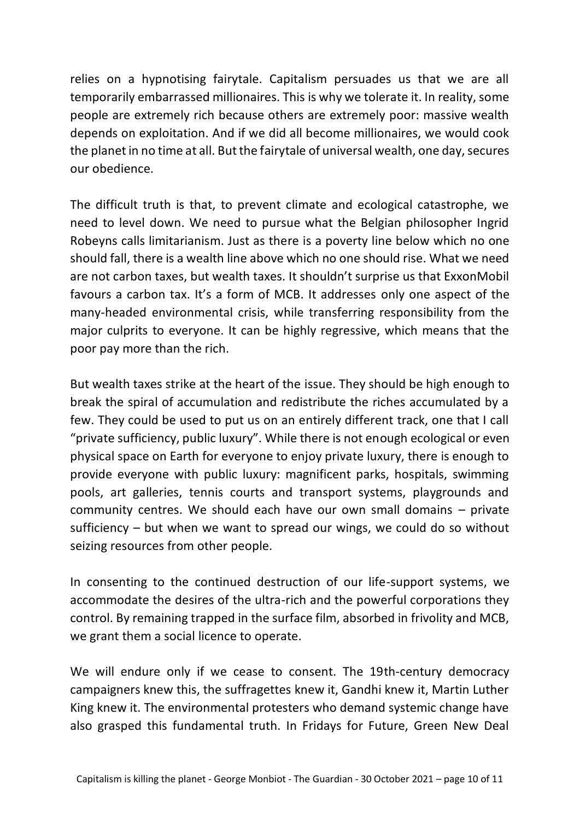relies on a hypnotising fairytale. Capitalism persuades us that we are all temporarily embarrassed millionaires. This is why we tolerate it. In reality, some people are extremely rich because others are extremely poor: massive wealth depends on exploitation. And if we did all become millionaires, we would cook the planet in no time at all. But the fairytale of universal wealth, one day, secures our obedience.

The difficult truth is that, to prevent climate and ecological catastrophe, we need to level down. We need to pursue what the Belgian philosopher Ingrid Robeyns calls limitarianism. Just as there is a poverty line below which no one should fall, there is a wealth line above which no one should rise. What we need are not carbon taxes, but wealth taxes. It shouldn't surprise us that ExxonMobil favours a carbon tax. It's a form of MCB. It addresses only one aspect of the many-headed environmental crisis, while transferring responsibility from the major culprits to everyone. It can be highly regressive, which means that the poor pay more than the rich.

But wealth taxes strike at the heart of the issue. They should be high enough to break the spiral of accumulation and redistribute the riches accumulated by a few. They could be used to put us on an entirely different track, one that I call "private sufficiency, public luxury". While there is not enough ecological or even physical space on Earth for everyone to enjoy private luxury, there is enough to provide everyone with public luxury: magnificent parks, hospitals, swimming pools, art galleries, tennis courts and transport systems, playgrounds and community centres. We should each have our own small domains – private sufficiency – but when we want to spread our wings, we could do so without seizing resources from other people.

In consenting to the continued destruction of our life-support systems, we accommodate the desires of the ultra-rich and the powerful corporations they control. By remaining trapped in the surface film, absorbed in frivolity and MCB, we grant them a social licence to operate.

We will endure only if we cease to consent. The 19th-century democracy campaigners knew this, the suffragettes knew it, Gandhi knew it, Martin Luther King knew it. The environmental protesters who demand systemic change have also grasped this fundamental truth. In Fridays for Future, Green New Deal